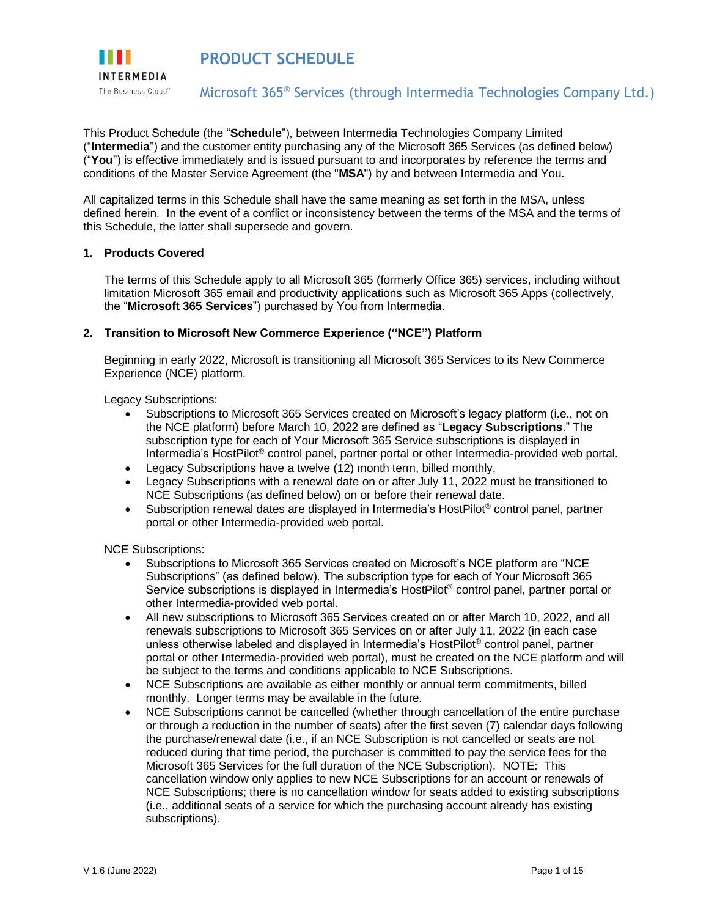

**PRODUCT SCHEDULE** 

### Microsoft 365® Services (through Intermedia Technologies Company Ltd.)

This Product Schedule (the "**Schedule**"), between Intermedia Technologies Company Limited ("**Intermedia**") and the customer entity purchasing any of the Microsoft 365 Services (as defined below) ("**You**") is effective immediately and is issued pursuant to and incorporates by reference the terms and conditions of the Master Service Agreement (the "**MSA**") by and between Intermedia and You.

All capitalized terms in this Schedule shall have the same meaning as set forth in the MSA, unless defined herein. In the event of a conflict or inconsistency between the terms of the MSA and the terms of this Schedule, the latter shall supersede and govern.

#### **1. Products Covered**

The terms of this Schedule apply to all Microsoft 365 (formerly Office 365) services, including without limitation Microsoft 365 email and productivity applications such as Microsoft 365 Apps (collectively, the "**Microsoft 365 Services**") purchased by You from Intermedia.

#### **2. Transition to Microsoft New Commerce Experience ("NCE") Platform**

Beginning in early 2022, Microsoft is transitioning all Microsoft 365 Services to its New Commerce Experience (NCE) platform.

Legacy Subscriptions:

- Subscriptions to Microsoft 365 Services created on Microsoft's legacy platform (i.e., not on the NCE platform) before March 10, 2022 are defined as "**Legacy Subscriptions**." The subscription type for each of Your Microsoft 365 Service subscriptions is displayed in Intermedia's HostPilot® control panel, partner portal or other Intermedia-provided web portal.
- Legacy Subscriptions have a twelve (12) month term, billed monthly.
- Legacy Subscriptions with a renewal date on or after July 11, 2022 must be transitioned to NCE Subscriptions (as defined below) on or before their renewal date.
- Subscription renewal dates are displayed in Intermedia's HostPilot<sup>®</sup> control panel, partner portal or other Intermedia-provided web portal.

NCE Subscriptions:

- Subscriptions to Microsoft 365 Services created on Microsoft's NCE platform are "NCE Subscriptions" (as defined below). The subscription type for each of Your Microsoft 365 Service subscriptions is displayed in Intermedia's HostPilot® control panel, partner portal or other Intermedia-provided web portal.
- All new subscriptions to Microsoft 365 Services created on or after March 10, 2022, and all renewals subscriptions to Microsoft 365 Services on or after July 11, 2022 (in each case unless otherwise labeled and displayed in Intermedia's HostPilot® control panel, partner portal or other Intermedia-provided web portal), must be created on the NCE platform and will be subject to the terms and conditions applicable to NCE Subscriptions.
- NCE Subscriptions are available as either monthly or annual term commitments, billed monthly. Longer terms may be available in the future.
- NCE Subscriptions cannot be cancelled (whether through cancellation of the entire purchase or through a reduction in the number of seats) after the first seven (7) calendar days following the purchase/renewal date (i.e., if an NCE Subscription is not cancelled or seats are not reduced during that time period, the purchaser is committed to pay the service fees for the Microsoft 365 Services for the full duration of the NCE Subscription). NOTE: This cancellation window only applies to new NCE Subscriptions for an account or renewals of NCE Subscriptions; there is no cancellation window for seats added to existing subscriptions (i.e., additional seats of a service for which the purchasing account already has existing subscriptions).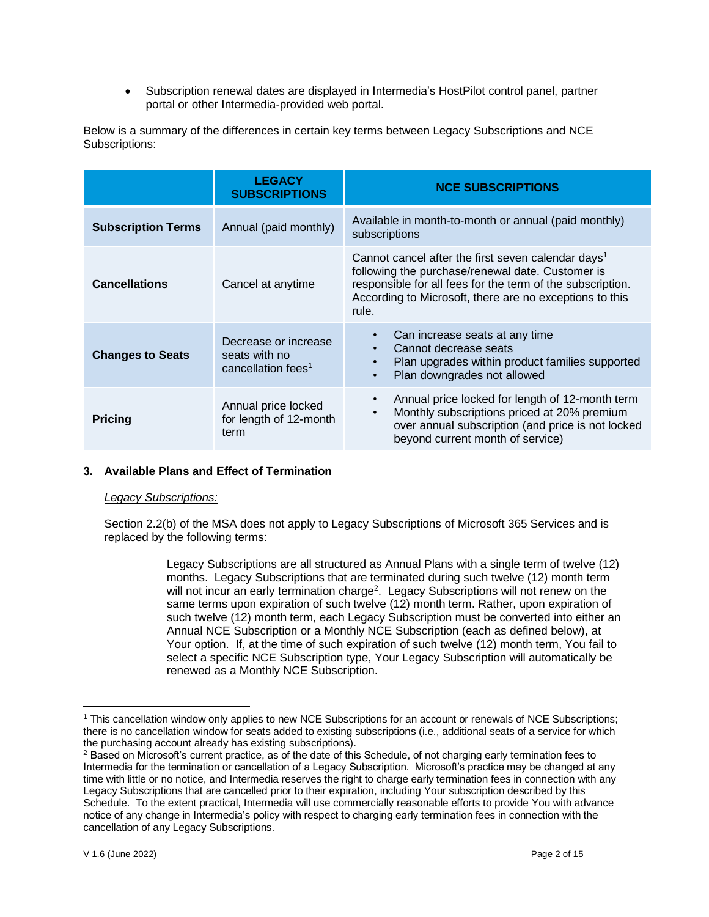• Subscription renewal dates are displayed in Intermedia's HostPilot control panel, partner portal or other Intermedia-provided web portal.

|                           | <b>LEGACY</b><br><b>SUBSCRIPTIONS</b>                                   | <b>NCE SUBSCRIPTIONS</b>                                                                                                                                                                                                                             |
|---------------------------|-------------------------------------------------------------------------|------------------------------------------------------------------------------------------------------------------------------------------------------------------------------------------------------------------------------------------------------|
| <b>Subscription Terms</b> | Annual (paid monthly)                                                   | Available in month-to-month or annual (paid monthly)<br>subscriptions                                                                                                                                                                                |
| <b>Cancellations</b>      | Cancel at anytime                                                       | Cannot cancel after the first seven calendar days <sup>1</sup><br>following the purchase/renewal date. Customer is<br>responsible for all fees for the term of the subscription.<br>According to Microsoft, there are no exceptions to this<br>rule. |
| <b>Changes to Seats</b>   | Decrease or increase<br>seats with no<br>cancellation fees <sup>1</sup> | Can increase seats at any time<br>Cannot decrease seats<br>$\bullet$<br>Plan upgrades within product families supported<br>$\bullet$<br>Plan downgrades not allowed                                                                                  |
| <b>Pricing</b>            | Annual price locked<br>for length of 12-month<br>term                   | Annual price locked for length of 12-month term<br>Monthly subscriptions priced at 20% premium<br>$\bullet$<br>over annual subscription (and price is not locked<br>beyond current month of service)                                                 |

Below is a summary of the differences in certain key terms between Legacy Subscriptions and NCE Subscriptions:

### **3. Available Plans and Effect of Termination**

### *Legacy Subscriptions:*

Section 2.2(b) of the MSA does not apply to Legacy Subscriptions of Microsoft 365 Services and is replaced by the following terms:

> Legacy Subscriptions are all structured as Annual Plans with a single term of twelve (12) months. Legacy Subscriptions that are terminated during such twelve (12) month term will not incur an early termination charge<sup>2</sup>. Legacy Subscriptions will not renew on the same terms upon expiration of such twelve (12) month term. Rather, upon expiration of such twelve (12) month term, each Legacy Subscription must be converted into either an Annual NCE Subscription or a Monthly NCE Subscription (each as defined below), at Your option. If, at the time of such expiration of such twelve (12) month term, You fail to select a specific NCE Subscription type, Your Legacy Subscription will automatically be renewed as a Monthly NCE Subscription.

<sup>1</sup> This cancellation window only applies to new NCE Subscriptions for an account or renewals of NCE Subscriptions; there is no cancellation window for seats added to existing subscriptions (i.e., additional seats of a service for which the purchasing account already has existing subscriptions).

<sup>&</sup>lt;sup>2</sup> Based on Microsoft's current practice, as of the date of this Schedule, of not charging early termination fees to Intermedia for the termination or cancellation of a Legacy Subscription. Microsoft's practice may be changed at any time with little or no notice, and Intermedia reserves the right to charge early termination fees in connection with any Legacy Subscriptions that are cancelled prior to their expiration, including Your subscription described by this Schedule. To the extent practical, Intermedia will use commercially reasonable efforts to provide You with advance notice of any change in Intermedia's policy with respect to charging early termination fees in connection with the cancellation of any Legacy Subscriptions.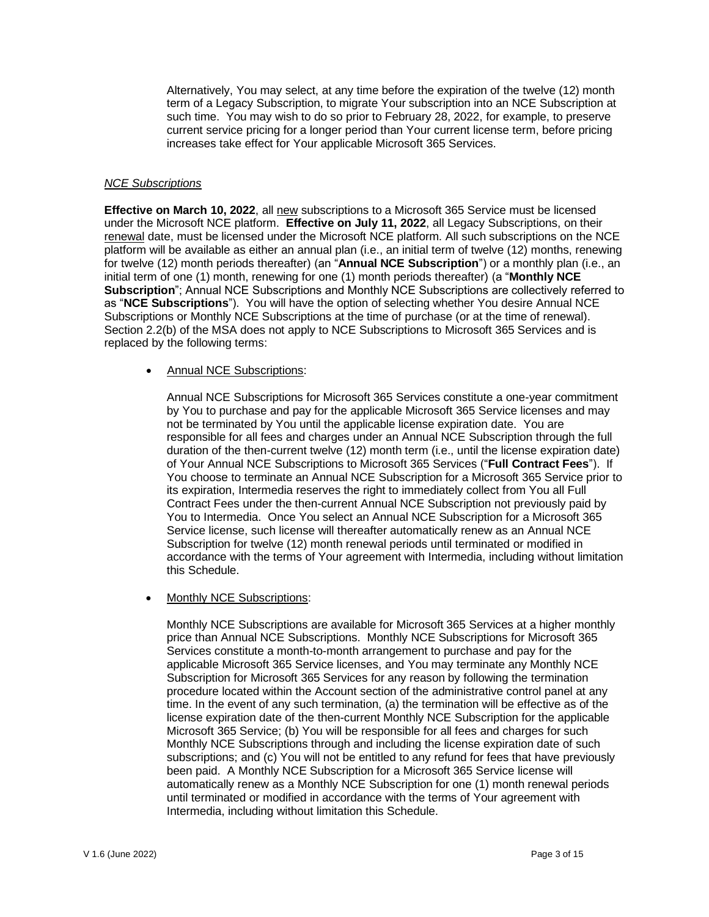Alternatively, You may select, at any time before the expiration of the twelve (12) month term of a Legacy Subscription, to migrate Your subscription into an NCE Subscription at such time. You may wish to do so prior to February 28, 2022, for example, to preserve current service pricing for a longer period than Your current license term, before pricing increases take effect for Your applicable Microsoft 365 Services.

### *NCE Subscriptions*

**Effective on March 10, 2022**, all new subscriptions to a Microsoft 365 Service must be licensed under the Microsoft NCE platform. **Effective on July 11, 2022**, all Legacy Subscriptions, on their renewal date, must be licensed under the Microsoft NCE platform. All such subscriptions on the NCE platform will be available as either an annual plan (i.e., an initial term of twelve (12) months, renewing for twelve (12) month periods thereafter) (an "**Annual NCE Subscription**") or a monthly plan (i.e., an initial term of one (1) month, renewing for one (1) month periods thereafter) (a "**Monthly NCE Subscription**"; Annual NCE Subscriptions and Monthly NCE Subscriptions are collectively referred to as "**NCE Subscriptions**"). You will have the option of selecting whether You desire Annual NCE Subscriptions or Monthly NCE Subscriptions at the time of purchase (or at the time of renewal). Section 2.2(b) of the MSA does not apply to NCE Subscriptions to Microsoft 365 Services and is replaced by the following terms:

### • Annual NCE Subscriptions:

Annual NCE Subscriptions for Microsoft 365 Services constitute a one-year commitment by You to purchase and pay for the applicable Microsoft 365 Service licenses and may not be terminated by You until the applicable license expiration date. You are responsible for all fees and charges under an Annual NCE Subscription through the full duration of the then-current twelve (12) month term (i.e., until the license expiration date) of Your Annual NCE Subscriptions to Microsoft 365 Services ("**Full Contract Fees**"). If You choose to terminate an Annual NCE Subscription for a Microsoft 365 Service prior to its expiration, Intermedia reserves the right to immediately collect from You all Full Contract Fees under the then-current Annual NCE Subscription not previously paid by You to Intermedia. Once You select an Annual NCE Subscription for a Microsoft 365 Service license, such license will thereafter automatically renew as an Annual NCE Subscription for twelve (12) month renewal periods until terminated or modified in accordance with the terms of Your agreement with Intermedia, including without limitation this Schedule.

### • Monthly NCE Subscriptions:

Monthly NCE Subscriptions are available for Microsoft 365 Services at a higher monthly price than Annual NCE Subscriptions. Monthly NCE Subscriptions for Microsoft 365 Services constitute a month-to-month arrangement to purchase and pay for the applicable Microsoft 365 Service licenses, and You may terminate any Monthly NCE Subscription for Microsoft 365 Services for any reason by following the termination procedure located within the Account section of the administrative control panel at any time. In the event of any such termination, (a) the termination will be effective as of the license expiration date of the then-current Monthly NCE Subscription for the applicable Microsoft 365 Service; (b) You will be responsible for all fees and charges for such Monthly NCE Subscriptions through and including the license expiration date of such subscriptions; and (c) You will not be entitled to any refund for fees that have previously been paid. A Monthly NCE Subscription for a Microsoft 365 Service license will automatically renew as a Monthly NCE Subscription for one (1) month renewal periods until terminated or modified in accordance with the terms of Your agreement with Intermedia, including without limitation this Schedule.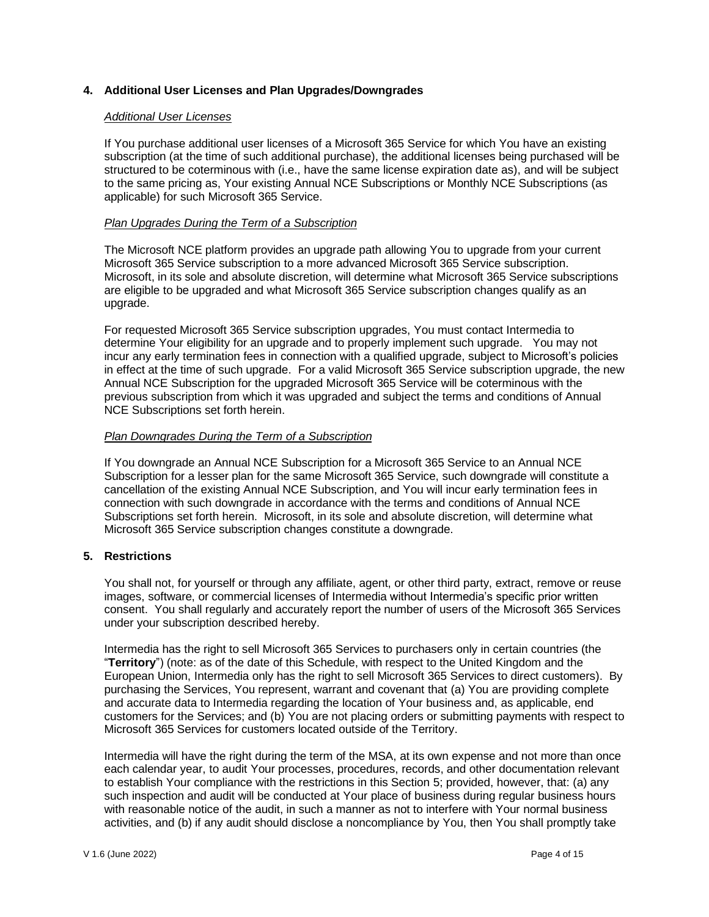### **4. Additional User Licenses and Plan Upgrades/Downgrades**

### *Additional User Licenses*

If You purchase additional user licenses of a Microsoft 365 Service for which You have an existing subscription (at the time of such additional purchase), the additional licenses being purchased will be structured to be coterminous with (i.e., have the same license expiration date as), and will be subject to the same pricing as, Your existing Annual NCE Subscriptions or Monthly NCE Subscriptions (as applicable) for such Microsoft 365 Service.

### *Plan Upgrades During the Term of a Subscription*

The Microsoft NCE platform provides an upgrade path allowing You to upgrade from your current Microsoft 365 Service subscription to a more advanced Microsoft 365 Service subscription. Microsoft, in its sole and absolute discretion, will determine what Microsoft 365 Service subscriptions are eligible to be upgraded and what Microsoft 365 Service subscription changes qualify as an upgrade.

For requested Microsoft 365 Service subscription upgrades, You must contact Intermedia to determine Your eligibility for an upgrade and to properly implement such upgrade. You may not incur any early termination fees in connection with a qualified upgrade, subject to Microsoft's policies in effect at the time of such upgrade. For a valid Microsoft 365 Service subscription upgrade, the new Annual NCE Subscription for the upgraded Microsoft 365 Service will be coterminous with the previous subscription from which it was upgraded and subject the terms and conditions of Annual NCE Subscriptions set forth herein.

### *Plan Downgrades During the Term of a Subscription*

If You downgrade an Annual NCE Subscription for a Microsoft 365 Service to an Annual NCE Subscription for a lesser plan for the same Microsoft 365 Service, such downgrade will constitute a cancellation of the existing Annual NCE Subscription, and You will incur early termination fees in connection with such downgrade in accordance with the terms and conditions of Annual NCE Subscriptions set forth herein. Microsoft, in its sole and absolute discretion, will determine what Microsoft 365 Service subscription changes constitute a downgrade.

### **5. Restrictions**

You shall not, for yourself or through any affiliate, agent, or other third party, extract, remove or reuse images, software, or commercial licenses of Intermedia without Intermedia's specific prior written consent. You shall regularly and accurately report the number of users of the Microsoft 365 Services under your subscription described hereby.

Intermedia has the right to sell Microsoft 365 Services to purchasers only in certain countries (the "**Territory**") (note: as of the date of this Schedule, with respect to the United Kingdom and the European Union, Intermedia only has the right to sell Microsoft 365 Services to direct customers). By purchasing the Services, You represent, warrant and covenant that (a) You are providing complete and accurate data to Intermedia regarding the location of Your business and, as applicable, end customers for the Services; and (b) You are not placing orders or submitting payments with respect to Microsoft 365 Services for customers located outside of the Territory.

Intermedia will have the right during the term of the MSA, at its own expense and not more than once each calendar year, to audit Your processes, procedures, records, and other documentation relevant to establish Your compliance with the restrictions in this Section 5; provided, however, that: (a) any such inspection and audit will be conducted at Your place of business during regular business hours with reasonable notice of the audit, in such a manner as not to interfere with Your normal business activities, and (b) if any audit should disclose a noncompliance by You, then You shall promptly take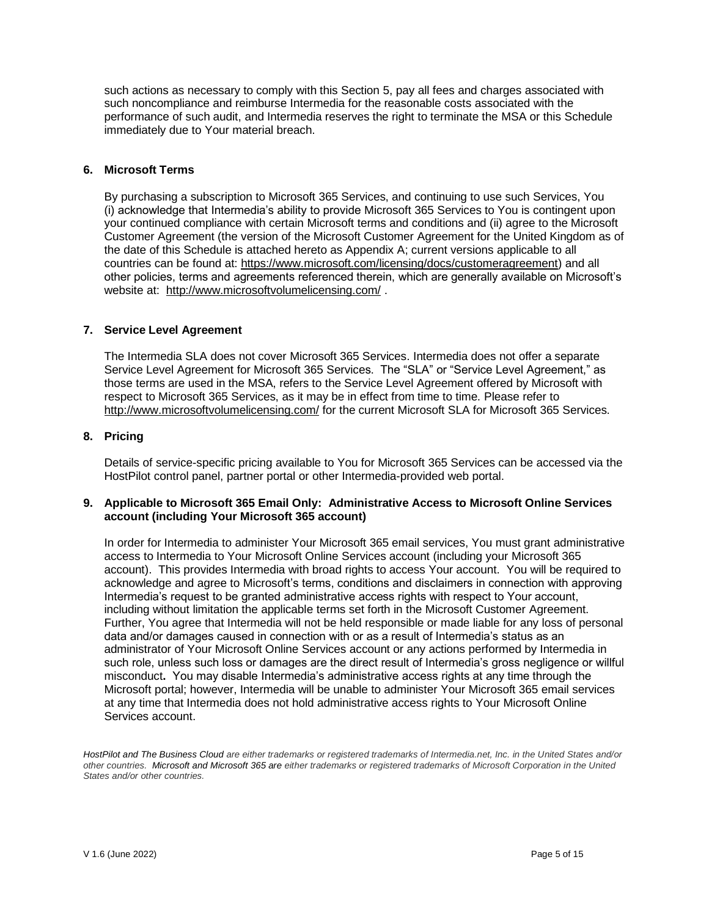such actions as necessary to comply with this Section 5, pay all fees and charges associated with such noncompliance and reimburse Intermedia for the reasonable costs associated with the performance of such audit, and Intermedia reserves the right to terminate the MSA or this Schedule immediately due to Your material breach.

### **6. Microsoft Terms**

By purchasing a subscription to Microsoft 365 Services, and continuing to use such Services, You (i) acknowledge that Intermedia's ability to provide Microsoft 365 Services to You is contingent upon your continued compliance with certain Microsoft terms and conditions and (ii) agree to the Microsoft Customer Agreement (the version of the Microsoft Customer Agreement for the United Kingdom as of the date of this Schedule is attached hereto as Appendix A; current versions applicable to all countries can be found at: [https://www.microsoft.com/licensing/docs/customeragreement\)](https://www.microsoft.com/licensing/docs/customeragreement) and all other policies, terms and agreements referenced therein, which are generally available on Microsoft's website at: <http://www.microsoftvolumelicensing.com/> .

### **7. Service Level Agreement**

The Intermedia SLA does not cover Microsoft 365 Services. Intermedia does not offer a separate Service Level Agreement for Microsoft 365 Services. The "SLA" or "Service Level Agreement," as those terms are used in the MSA, refers to the Service Level Agreement offered by Microsoft with respect to Microsoft 365 Services, as it may be in effect from time to time. Please refer to <http://www.microsoftvolumelicensing.com/> for the current Microsoft SLA for Microsoft 365 Services.

### **8. Pricing**

Details of service-specific pricing available to You for Microsoft 365 Services can be accessed via the HostPilot control panel, partner portal or other Intermedia-provided web portal.

### **9. Applicable to Microsoft 365 Email Only: Administrative Access to Microsoft Online Services account (including Your Microsoft 365 account)**

In order for Intermedia to administer Your Microsoft 365 email services, You must grant administrative access to Intermedia to Your Microsoft Online Services account (including your Microsoft 365 account). This provides Intermedia with broad rights to access Your account. You will be required to acknowledge and agree to Microsoft's terms, conditions and disclaimers in connection with approving Intermedia's request to be granted administrative access rights with respect to Your account, including without limitation the applicable terms set forth in the Microsoft Customer Agreement. Further, You agree that Intermedia will not be held responsible or made liable for any loss of personal data and/or damages caused in connection with or as a result of Intermedia's status as an administrator of Your Microsoft Online Services account or any actions performed by Intermedia in such role, unless such loss or damages are the direct result of Intermedia's gross negligence or willful misconduct**.** You may disable Intermedia's administrative access rights at any time through the Microsoft portal; however, Intermedia will be unable to administer Your Microsoft 365 email services at any time that Intermedia does not hold administrative access rights to Your Microsoft Online Services account.

*HostPilot and The Business Cloud are either trademarks or registered trademarks of Intermedia.net, Inc. in the United States and/or other countries. Microsoft and Microsoft 365 are either trademarks or registered trademarks of Microsoft Corporation in the United States and/or other countries.*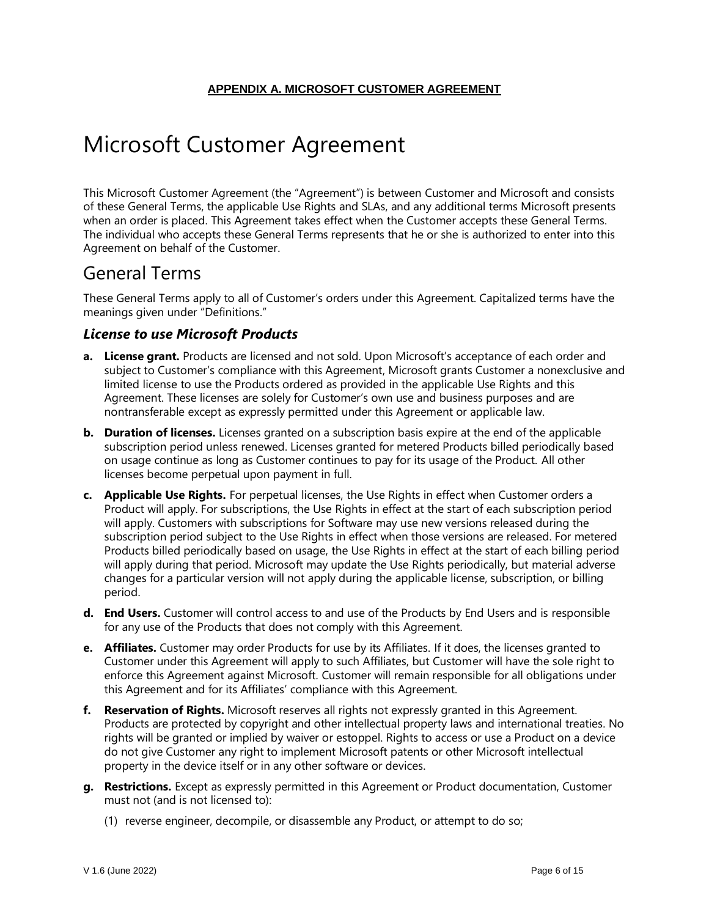# Microsoft Customer Agreement

This Microsoft Customer Agreement (the "Agreement") is between Customer and Microsoft and consists of these General Terms, the applicable Use Rights and SLAs, and any additional terms Microsoft presents when an order is placed. This Agreement takes effect when the Customer accepts these General Terms. The individual who accepts these General Terms represents that he or she is authorized to enter into this Agreement on behalf of the Customer.

# General Terms

These General Terms apply to all of Customer's orders under this Agreement. Capitalized terms have the meanings given under "Definitions."

# *License to use Microsoft Products*

- **a. License grant.** Products are licensed and not sold. Upon Microsoft's acceptance of each order and subject to Customer's compliance with this Agreement, Microsoft grants Customer a nonexclusive and limited license to use the Products ordered as provided in the applicable Use Rights and this Agreement. These licenses are solely for Customer's own use and business purposes and are nontransferable except as expressly permitted under this Agreement or applicable law.
- **b. Duration of licenses.** Licenses granted on a subscription basis expire at the end of the applicable subscription period unless renewed. Licenses granted for metered Products billed periodically based on usage continue as long as Customer continues to pay for its usage of the Product. All other licenses become perpetual upon payment in full.
- **c. Applicable Use Rights.** For perpetual licenses, the Use Rights in effect when Customer orders a Product will apply. For subscriptions, the Use Rights in effect at the start of each subscription period will apply. Customers with subscriptions for Software may use new versions released during the subscription period subject to the Use Rights in effect when those versions are released. For metered Products billed periodically based on usage, the Use Rights in effect at the start of each billing period will apply during that period. Microsoft may update the Use Rights periodically, but material adverse changes for a particular version will not apply during the applicable license, subscription, or billing period.
- **d. End Users.** Customer will control access to and use of the Products by End Users and is responsible for any use of the Products that does not comply with this Agreement.
- **e. Affiliates.** Customer may order Products for use by its Affiliates. If it does, the licenses granted to Customer under this Agreement will apply to such Affiliates, but Customer will have the sole right to enforce this Agreement against Microsoft. Customer will remain responsible for all obligations under this Agreement and for its Affiliates' compliance with this Agreement.
- **f. Reservation of Rights.** Microsoft reserves all rights not expressly granted in this Agreement. Products are protected by copyright and other intellectual property laws and international treaties. No rights will be granted or implied by waiver or estoppel. Rights to access or use a Product on a device do not give Customer any right to implement Microsoft patents or other Microsoft intellectual property in the device itself or in any other software or devices.
- **g. Restrictions.** Except as expressly permitted in this Agreement or Product documentation, Customer must not (and is not licensed to):
	- (1) reverse engineer, decompile, or disassemble any Product, or attempt to do so;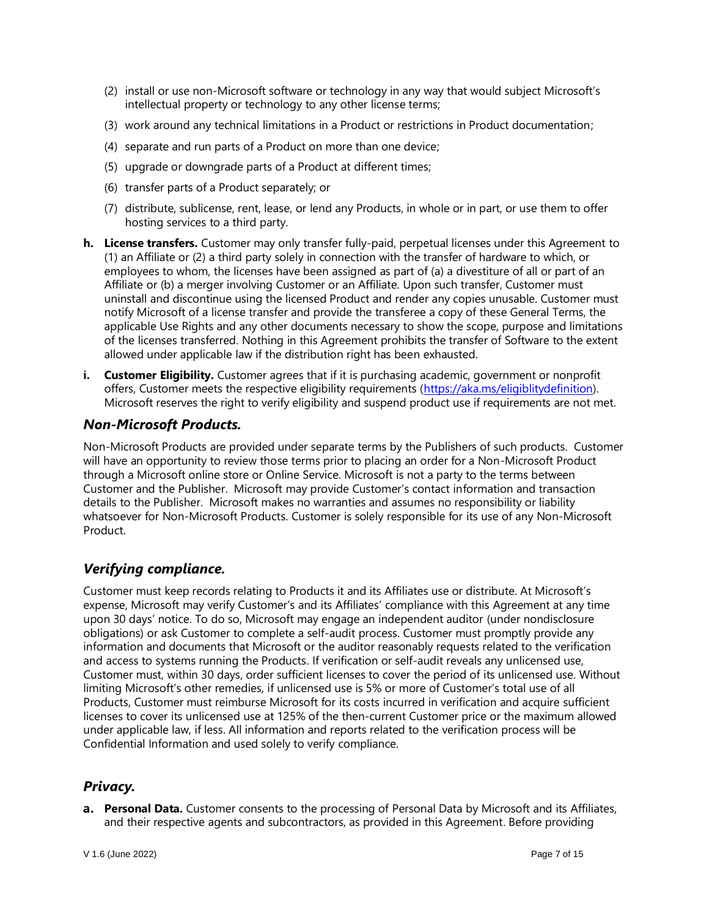- (2) install or use non-Microsoft software or technology in any way that would subject Microsoft's intellectual property or technology to any other license terms;
- (3) work around any technical limitations in a Product or restrictions in Product documentation;
- (4) separate and run parts of a Product on more than one device;
- (5) upgrade or downgrade parts of a Product at different times;
- (6) transfer parts of a Product separately; or
- (7) distribute, sublicense, rent, lease, or lend any Products, in whole or in part, or use them to offer hosting services to a third party.
- **h. License transfers.** Customer may only transfer fully-paid, perpetual licenses under this Agreement to (1) an Affiliate or (2) a third party solely in connection with the transfer of hardware to which, or employees to whom, the licenses have been assigned as part of (a) a divestiture of all or part of an Affiliate or (b) a merger involving Customer or an Affiliate. Upon such transfer, Customer must uninstall and discontinue using the licensed Product and render any copies unusable. Customer must notify Microsoft of a license transfer and provide the transferee a copy of these General Terms, the applicable Use Rights and any other documents necessary to show the scope, purpose and limitations of the licenses transferred. Nothing in this Agreement prohibits the transfer of Software to the extent allowed under applicable law if the distribution right has been exhausted.
- **i. Customer Eligibility.** Customer agrees that if it is purchasing academic, government or nonprofit offers, Customer meets the respective eligibility requirements [\(https://aka.ms/eligiblitydefinition\)](https://aka.ms/eligiblitydefinition). Microsoft reserves the right to verify eligibility and suspend product use if requirements are not met.

# *Non-Microsoft Products.*

Non-Microsoft Products are provided under separate terms by the Publishers of such products. Customer will have an opportunity to review those terms prior to placing an order for a Non-Microsoft Product through a Microsoft online store or Online Service. Microsoft is not a party to the terms between Customer and the Publisher. Microsoft may provide Customer's contact information and transaction details to the Publisher. Microsoft makes no warranties and assumes no responsibility or liability whatsoever for Non-Microsoft Products. Customer is solely responsible for its use of any Non-Microsoft Product.

# *Verifying compliance.*

Customer must keep records relating to Products it and its Affiliates use or distribute. At Microsoft's expense, Microsoft may verify Customer's and its Affiliates' compliance with this Agreement at any time upon 30 days' notice. To do so, Microsoft may engage an independent auditor (under nondisclosure obligations) or ask Customer to complete a self-audit process. Customer must promptly provide any information and documents that Microsoft or the auditor reasonably requests related to the verification and access to systems running the Products. If verification or self-audit reveals any unlicensed use, Customer must, within 30 days, order sufficient licenses to cover the period of its unlicensed use. Without limiting Microsoft's other remedies, if unlicensed use is 5% or more of Customer's total use of all Products, Customer must reimburse Microsoft for its costs incurred in verification and acquire sufficient licenses to cover its unlicensed use at 125% of the then-current Customer price or the maximum allowed under applicable law, if less. All information and reports related to the verification process will be Confidential Information and used solely to verify compliance.

# *Privacy.*

**Personal Data.** Customer consents to the processing of Personal Data by Microsoft and its Affiliates, and their respective agents and subcontractors, as provided in this Agreement. Before providing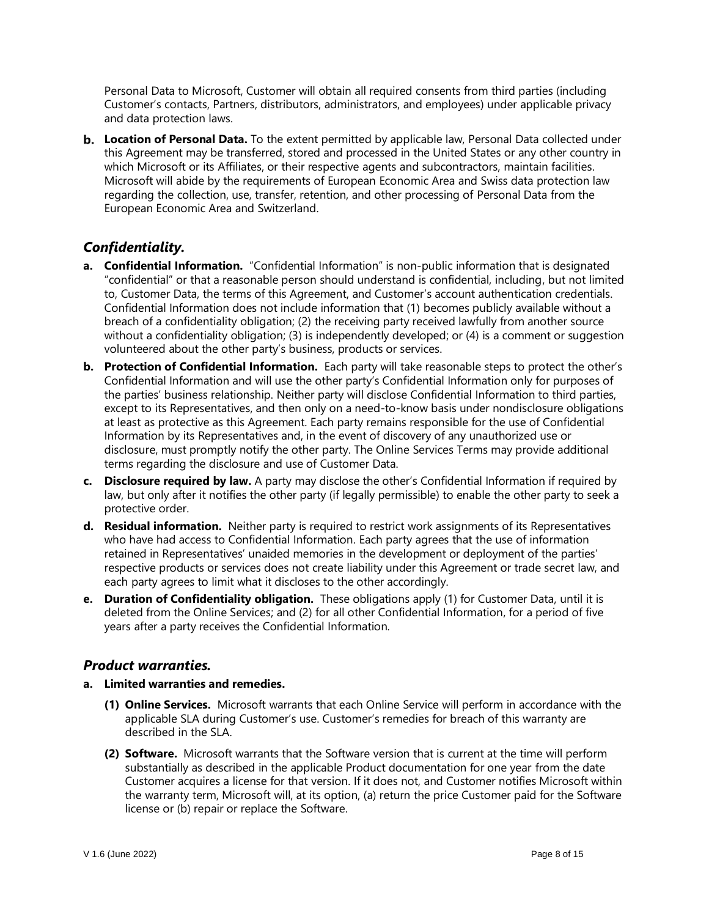Personal Data to Microsoft, Customer will obtain all required consents from third parties (including Customer's contacts, Partners, distributors, administrators, and employees) under applicable privacy and data protection laws.

**b.** Location of Personal Data. To the extent permitted by applicable law, Personal Data collected under this Agreement may be transferred, stored and processed in the United States or any other country in which Microsoft or its Affiliates, or their respective agents and subcontractors, maintain facilities. Microsoft will abide by the requirements of European Economic Area and Swiss data protection law regarding the collection, use, transfer, retention, and other processing of Personal Data from the European Economic Area and Switzerland.

# *Confidentiality.*

- **a. Confidential Information.** "Confidential Information" is non-public information that is designated "confidential" or that a reasonable person should understand is confidential, including, but not limited to, Customer Data, the terms of this Agreement, and Customer's account authentication credentials. Confidential Information does not include information that (1) becomes publicly available without a breach of a confidentiality obligation; (2) the receiving party received lawfully from another source without a confidentiality obligation; (3) is independently developed; or (4) is a comment or suggestion volunteered about the other party's business, products or services.
- **b. Protection of Confidential Information.** Each party will take reasonable steps to protect the other's Confidential Information and will use the other party's Confidential Information only for purposes of the parties' business relationship. Neither party will disclose Confidential Information to third parties, except to its Representatives, and then only on a need-to-know basis under nondisclosure obligations at least as protective as this Agreement. Each party remains responsible for the use of Confidential Information by its Representatives and, in the event of discovery of any unauthorized use or disclosure, must promptly notify the other party. The Online Services Terms may provide additional terms regarding the disclosure and use of Customer Data.
- **c. Disclosure required by law.** A party may disclose the other's Confidential Information if required by law, but only after it notifies the other party (if legally permissible) to enable the other party to seek a protective order.
- **d. Residual information.** Neither party is required to restrict work assignments of its Representatives who have had access to Confidential Information. Each party agrees that the use of information retained in Representatives' unaided memories in the development or deployment of the parties' respective products or services does not create liability under this Agreement or trade secret law, and each party agrees to limit what it discloses to the other accordingly.
- **e. Duration of Confidentiality obligation.** These obligations apply (1) for Customer Data, until it is deleted from the Online Services; and (2) for all other Confidential Information, for a period of five years after a party receives the Confidential Information.

# *Product warranties.*

- **a. Limited warranties and remedies.**
	- **(1) Online Services.** Microsoft warrants that each Online Service will perform in accordance with the applicable SLA during Customer's use. Customer's remedies for breach of this warranty are described in the SLA.
	- **(2) Software.** Microsoft warrants that the Software version that is current at the time will perform substantially as described in the applicable Product documentation for one year from the date Customer acquires a license for that version. If it does not, and Customer notifies Microsoft within the warranty term, Microsoft will, at its option, (a) return the price Customer paid for the Software license or (b) repair or replace the Software.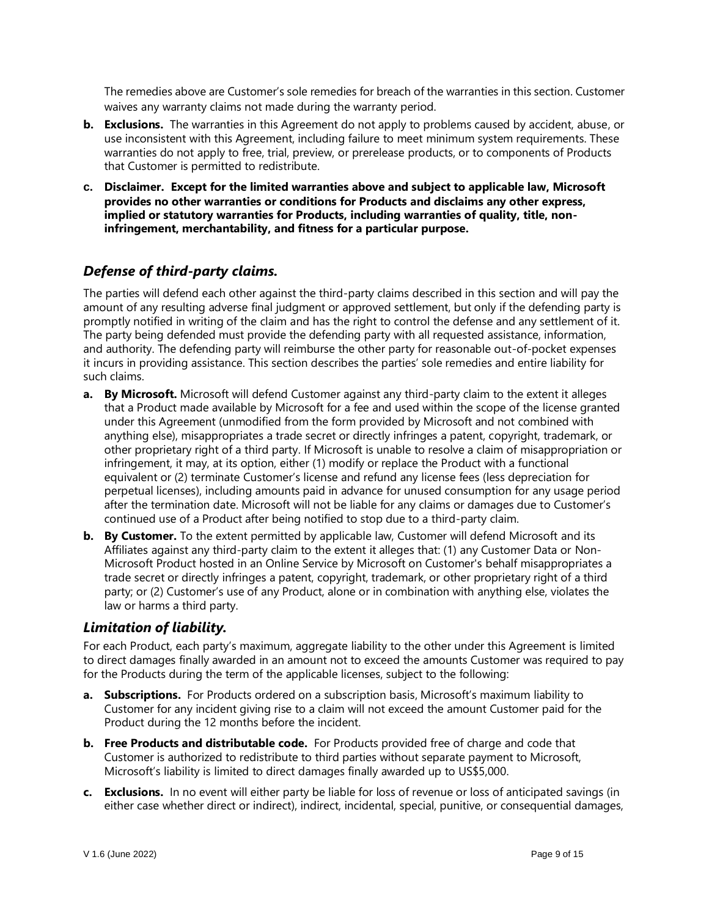The remedies above are Customer's sole remedies for breach of the warranties in this section. Customer waives any warranty claims not made during the warranty period.

- **b. Exclusions.** The warranties in this Agreement do not apply to problems caused by accident, abuse, or use inconsistent with this Agreement, including failure to meet minimum system requirements. These warranties do not apply to free, trial, preview, or prerelease products, or to components of Products that Customer is permitted to redistribute.
- **c. Disclaimer. Except for the limited warranties above and subject to applicable law, Microsoft provides no other warranties or conditions for Products and disclaims any other express, implied or statutory warranties for Products, including warranties of quality, title, noninfringement, merchantability, and fitness for a particular purpose.**

# *Defense of third-party claims.*

The parties will defend each other against the third-party claims described in this section and will pay the amount of any resulting adverse final judgment or approved settlement, but only if the defending party is promptly notified in writing of the claim and has the right to control the defense and any settlement of it. The party being defended must provide the defending party with all requested assistance, information, and authority. The defending party will reimburse the other party for reasonable out-of-pocket expenses it incurs in providing assistance. This section describes the parties' sole remedies and entire liability for such claims.

- **a. By Microsoft.** Microsoft will defend Customer against any third-party claim to the extent it alleges that a Product made available by Microsoft for a fee and used within the scope of the license granted under this Agreement (unmodified from the form provided by Microsoft and not combined with anything else), misappropriates a trade secret or directly infringes a patent, copyright, trademark, or other proprietary right of a third party. If Microsoft is unable to resolve a claim of misappropriation or infringement, it may, at its option, either (1) modify or replace the Product with a functional equivalent or (2) terminate Customer's license and refund any license fees (less depreciation for perpetual licenses), including amounts paid in advance for unused consumption for any usage period after the termination date. Microsoft will not be liable for any claims or damages due to Customer's continued use of a Product after being notified to stop due to a third-party claim.
- **b.** By Customer. To the extent permitted by applicable law, Customer will defend Microsoft and its Affiliates against any third-party claim to the extent it alleges that: (1) any Customer Data or Non-Microsoft Product hosted in an Online Service by Microsoft on Customer's behalf misappropriates a trade secret or directly infringes a patent, copyright, trademark, or other proprietary right of a third party; or (2) Customer's use of any Product, alone or in combination with anything else, violates the law or harms a third party.

# *Limitation of liability.*

For each Product, each party's maximum, aggregate liability to the other under this Agreement is limited to direct damages finally awarded in an amount not to exceed the amounts Customer was required to pay for the Products during the term of the applicable licenses, subject to the following:

- **a. Subscriptions.** For Products ordered on a subscription basis, Microsoft's maximum liability to Customer for any incident giving rise to a claim will not exceed the amount Customer paid for the Product during the 12 months before the incident.
- **b. Free Products and distributable code.** For Products provided free of charge and code that Customer is authorized to redistribute to third parties without separate payment to Microsoft, Microsoft's liability is limited to direct damages finally awarded up to US\$5,000.
- **c. Exclusions.** In no event will either party be liable for loss of revenue or loss of anticipated savings (in either case whether direct or indirect), indirect, incidental, special, punitive, or consequential damages,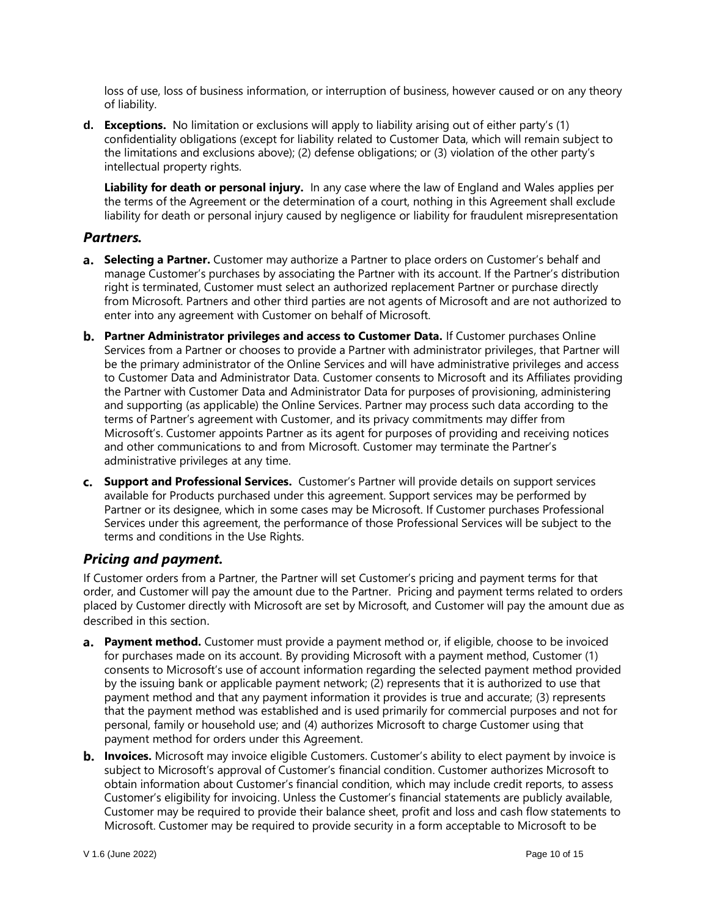loss of use, loss of business information, or interruption of business, however caused or on any theory of liability.

**d. Exceptions.** No limitation or exclusions will apply to liability arising out of either party's (1) confidentiality obligations (except for liability related to Customer Data, which will remain subject to the limitations and exclusions above); (2) defense obligations; or (3) violation of the other party's intellectual property rights.

**Liability for death or personal injury.** In any case where the law of England and Wales applies per the terms of the Agreement or the determination of a court, nothing in this Agreement shall exclude liability for death or personal injury caused by negligence or liability for fraudulent misrepresentation

# *Partners.*

- **Selecting a Partner.** Customer may authorize a Partner to place orders on Customer's behalf and manage Customer's purchases by associating the Partner with its account. If the Partner's distribution right is terminated, Customer must select an authorized replacement Partner or purchase directly from Microsoft. Partners and other third parties are not agents of Microsoft and are not authorized to enter into any agreement with Customer on behalf of Microsoft.
- **Partner Administrator privileges and access to Customer Data.** If Customer purchases Online Services from a Partner or chooses to provide a Partner with administrator privileges, that Partner will be the primary administrator of the Online Services and will have administrative privileges and access to Customer Data and Administrator Data. Customer consents to Microsoft and its Affiliates providing the Partner with Customer Data and Administrator Data for purposes of provisioning, administering and supporting (as applicable) the Online Services. Partner may process such data according to the terms of Partner's agreement with Customer, and its privacy commitments may differ from Microsoft's. Customer appoints Partner as its agent for purposes of providing and receiving notices and other communications to and from Microsoft. Customer may terminate the Partner's administrative privileges at any time.
- **Support and Professional Services.** Customer's Partner will provide details on support services available for Products purchased under this agreement. Support services may be performed by Partner or its designee, which in some cases may be Microsoft. If Customer purchases Professional Services under this agreement, the performance of those Professional Services will be subject to the terms and conditions in the Use Rights.

# *Pricing and payment.*

If Customer orders from a Partner, the Partner will set Customer's pricing and payment terms for that order, and Customer will pay the amount due to the Partner. Pricing and payment terms related to orders placed by Customer directly with Microsoft are set by Microsoft, and Customer will pay the amount due as described in this section.

- **a.** Payment method. Customer must provide a payment method or, if eligible, choose to be invoiced for purchases made on its account. By providing Microsoft with a payment method, Customer (1) consents to Microsoft's use of account information regarding the selected payment method provided by the issuing bank or applicable payment network; (2) represents that it is authorized to use that payment method and that any payment information it provides is true and accurate; (3) represents that the payment method was established and is used primarily for commercial purposes and not for personal, family or household use; and (4) authorizes Microsoft to charge Customer using that payment method for orders under this Agreement.
- **b.** Invoices. Microsoft may invoice eligible Customers. Customer's ability to elect payment by invoice is subject to Microsoft's approval of Customer's financial condition. Customer authorizes Microsoft to obtain information about Customer's financial condition, which may include credit reports, to assess Customer's eligibility for invoicing. Unless the Customer's financial statements are publicly available, Customer may be required to provide their balance sheet, profit and loss and cash flow statements to Microsoft. Customer may be required to provide security in a form acceptable to Microsoft to be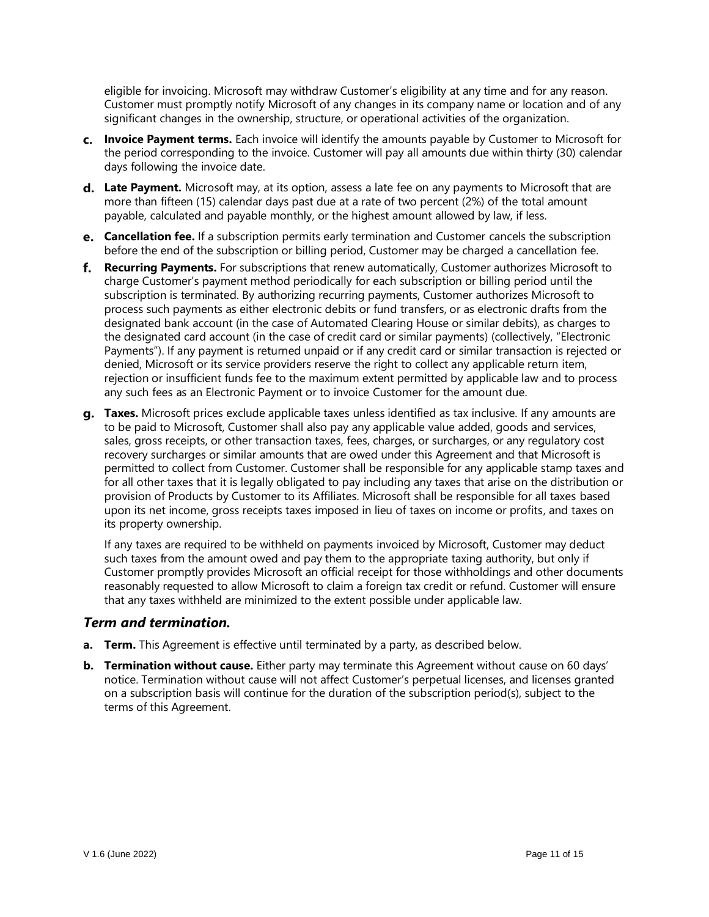eligible for invoicing. Microsoft may withdraw Customer's eligibility at any time and for any reason. Customer must promptly notify Microsoft of any changes in its company name or location and of any significant changes in the ownership, structure, or operational activities of the organization.

- **Invoice Payment terms.** Each invoice will identify the amounts payable by Customer to Microsoft for the period corresponding to the invoice. Customer will pay all amounts due within thirty (30) calendar days following the invoice date.
- **d.** Late Payment. Microsoft may, at its option, assess a late fee on any payments to Microsoft that are more than fifteen (15) calendar days past due at a rate of two percent (2%) of the total amount payable, calculated and payable monthly, or the highest amount allowed by law, if less.
- **Cancellation fee.** If a subscription permits early termination and Customer cancels the subscription before the end of the subscription or billing period, Customer may be charged a cancellation fee.
- **Recurring Payments.** For subscriptions that renew automatically, Customer authorizes Microsoft to charge Customer's payment method periodically for each subscription or billing period until the subscription is terminated. By authorizing recurring payments, Customer authorizes Microsoft to process such payments as either electronic debits or fund transfers, or as electronic drafts from the designated bank account (in the case of Automated Clearing House or similar debits), as charges to the designated card account (in the case of credit card or similar payments) (collectively, "Electronic Payments"). If any payment is returned unpaid or if any credit card or similar transaction is rejected or denied, Microsoft or its service providers reserve the right to collect any applicable return item, rejection or insufficient funds fee to the maximum extent permitted by applicable law and to process any such fees as an Electronic Payment or to invoice Customer for the amount due.
- **Taxes.** Microsoft prices exclude applicable taxes unless identified as tax inclusive. If any amounts are to be paid to Microsoft, Customer shall also pay any applicable value added, goods and services, sales, gross receipts, or other transaction taxes, fees, charges, or surcharges, or any regulatory cost recovery surcharges or similar amounts that are owed under this Agreement and that Microsoft is permitted to collect from Customer. Customer shall be responsible for any applicable stamp taxes and for all other taxes that it is legally obligated to pay including any taxes that arise on the distribution or provision of Products by Customer to its Affiliates. Microsoft shall be responsible for all taxes based upon its net income, gross receipts taxes imposed in lieu of taxes on income or profits, and taxes on its property ownership.

If any taxes are required to be withheld on payments invoiced by Microsoft, Customer may deduct such taxes from the amount owed and pay them to the appropriate taxing authority, but only if Customer promptly provides Microsoft an official receipt for those withholdings and other documents reasonably requested to allow Microsoft to claim a foreign tax credit or refund. Customer will ensure that any taxes withheld are minimized to the extent possible under applicable law.

### *Term and termination.*

- **a. Term.** This Agreement is effective until terminated by a party, as described below.
- **b. Termination without cause.** Either party may terminate this Agreement without cause on 60 days' notice. Termination without cause will not affect Customer's perpetual licenses, and licenses granted on a subscription basis will continue for the duration of the subscription period(s), subject to the terms of this Agreement.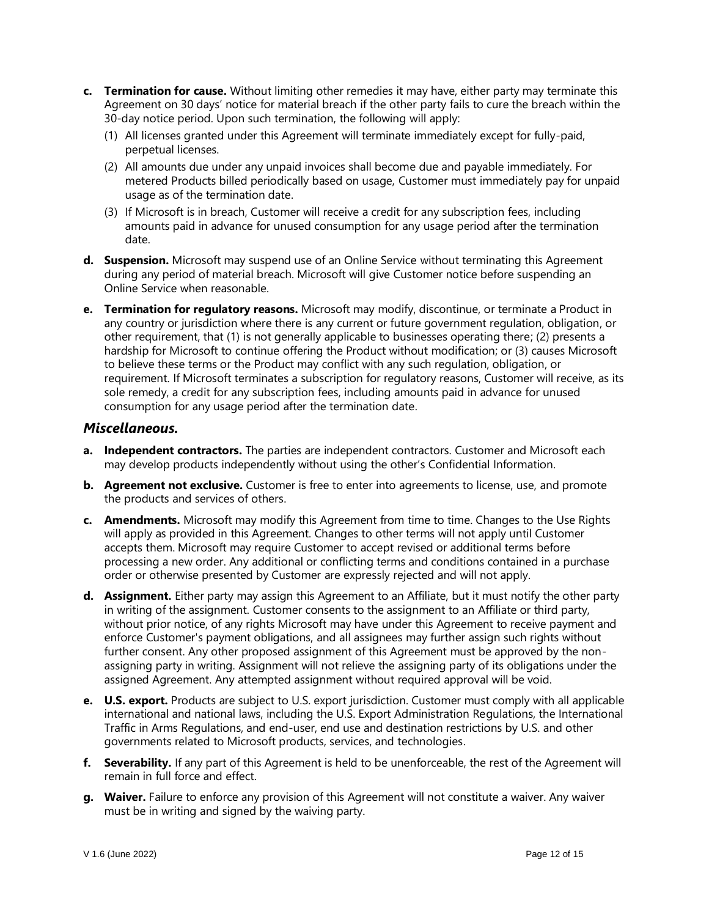- **c. Termination for cause.** Without limiting other remedies it may have, either party may terminate this Agreement on 30 days' notice for material breach if the other party fails to cure the breach within the 30-day notice period. Upon such termination, the following will apply:
	- (1) All licenses granted under this Agreement will terminate immediately except for fully-paid, perpetual licenses.
	- (2) All amounts due under any unpaid invoices shall become due and payable immediately. For metered Products billed periodically based on usage, Customer must immediately pay for unpaid usage as of the termination date.
	- (3) If Microsoft is in breach, Customer will receive a credit for any subscription fees, including amounts paid in advance for unused consumption for any usage period after the termination date.
- **d. Suspension.** Microsoft may suspend use of an Online Service without terminating this Agreement during any period of material breach. Microsoft will give Customer notice before suspending an Online Service when reasonable.
- **e. Termination for regulatory reasons.** Microsoft may modify, discontinue, or terminate a Product in any country or jurisdiction where there is any current or future government regulation, obligation, or other requirement, that (1) is not generally applicable to businesses operating there; (2) presents a hardship for Microsoft to continue offering the Product without modification; or (3) causes Microsoft to believe these terms or the Product may conflict with any such regulation, obligation, or requirement. If Microsoft terminates a subscription for regulatory reasons, Customer will receive, as its sole remedy, a credit for any subscription fees, including amounts paid in advance for unused consumption for any usage period after the termination date.

### *Miscellaneous.*

- **a. Independent contractors.** The parties are independent contractors. Customer and Microsoft each may develop products independently without using the other's Confidential Information.
- **b. Agreement not exclusive.** Customer is free to enter into agreements to license, use, and promote the products and services of others.
- **c. Amendments.** Microsoft may modify this Agreement from time to time. Changes to the Use Rights will apply as provided in this Agreement. Changes to other terms will not apply until Customer accepts them. Microsoft may require Customer to accept revised or additional terms before processing a new order. Any additional or conflicting terms and conditions contained in a purchase order or otherwise presented by Customer are expressly rejected and will not apply.
- **d. Assignment.** Either party may assign this Agreement to an Affiliate, but it must notify the other party in writing of the assignment. Customer consents to the assignment to an Affiliate or third party, without prior notice, of any rights Microsoft may have under this Agreement to receive payment and enforce Customer's payment obligations, and all assignees may further assign such rights without further consent. Any other proposed assignment of this Agreement must be approved by the nonassigning party in writing. Assignment will not relieve the assigning party of its obligations under the assigned Agreement. Any attempted assignment without required approval will be void.
- **e. U.S. export.** Products are subject to U.S. export jurisdiction. Customer must comply with all applicable international and national laws, including the U.S. Export Administration Regulations, the International Traffic in Arms Regulations, and end-user, end use and destination restrictions by U.S. and other governments related to Microsoft products, services, and technologies.
- **f. Severability.** If any part of this Agreement is held to be unenforceable, the rest of the Agreement will remain in full force and effect.
- **g. Waiver.** Failure to enforce any provision of this Agreement will not constitute a waiver. Any waiver must be in writing and signed by the waiving party.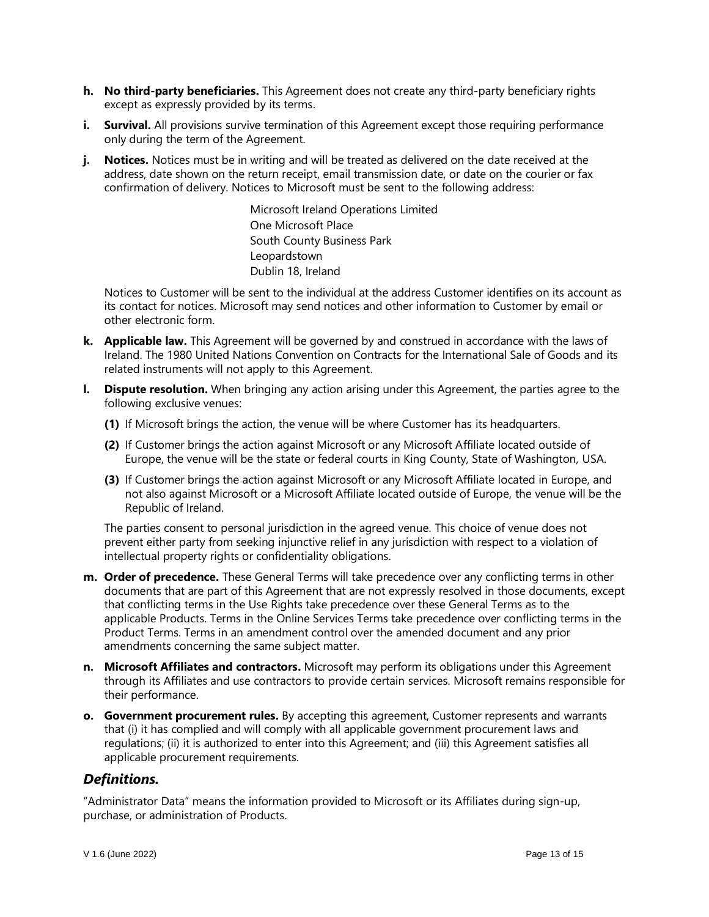- **h. No third-party beneficiaries.** This Agreement does not create any third-party beneficiary rights except as expressly provided by its terms.
- **i. Survival.** All provisions survive termination of this Agreement except those requiring performance only during the term of the Agreement.
- **j.** Notices. Notices must be in writing and will be treated as delivered on the date received at the address, date shown on the return receipt, email transmission date, or date on the courier or fax confirmation of delivery. Notices to Microsoft must be sent to the following address:

Microsoft Ireland Operations Limited One Microsoft Place South County Business Park Leopardstown Dublin 18, Ireland

Notices to Customer will be sent to the individual at the address Customer identifies on its account as its contact for notices. Microsoft may send notices and other information to Customer by email or other electronic form.

- **k. Applicable law.** This Agreement will be governed by and construed in accordance with the laws of Ireland. The 1980 United Nations Convention on Contracts for the International Sale of Goods and its related instruments will not apply to this Agreement.
- **l. Dispute resolution.** When bringing any action arising under this Agreement, the parties agree to the following exclusive venues:
	- **(1)** If Microsoft brings the action, the venue will be where Customer has its headquarters.
	- **(2)** If Customer brings the action against Microsoft or any Microsoft Affiliate located outside of Europe, the venue will be the state or federal courts in King County, State of Washington, USA.
	- **(3)** If Customer brings the action against Microsoft or any Microsoft Affiliate located in Europe, and not also against Microsoft or a Microsoft Affiliate located outside of Europe, the venue will be the Republic of Ireland.

The parties consent to personal jurisdiction in the agreed venue. This choice of venue does not prevent either party from seeking injunctive relief in any jurisdiction with respect to a violation of intellectual property rights or confidentiality obligations.

- **m. Order of precedence.** These General Terms will take precedence over any conflicting terms in other documents that are part of this Agreement that are not expressly resolved in those documents, except that conflicting terms in the Use Rights take precedence over these General Terms as to the applicable Products. Terms in the Online Services Terms take precedence over conflicting terms in the Product Terms. Terms in an amendment control over the amended document and any prior amendments concerning the same subject matter.
- **n. Microsoft Affiliates and contractors.** Microsoft may perform its obligations under this Agreement through its Affiliates and use contractors to provide certain services. Microsoft remains responsible for their performance.
- **o. Government procurement rules.** By accepting this agreement, Customer represents and warrants that (i) it has complied and will comply with all applicable government procurement laws and regulations; (ii) it is authorized to enter into this Agreement; and (iii) this Agreement satisfies all applicable procurement requirements.

# *Definitions.*

"Administrator Data" means the information provided to Microsoft or its Affiliates during sign-up, purchase, or administration of Products.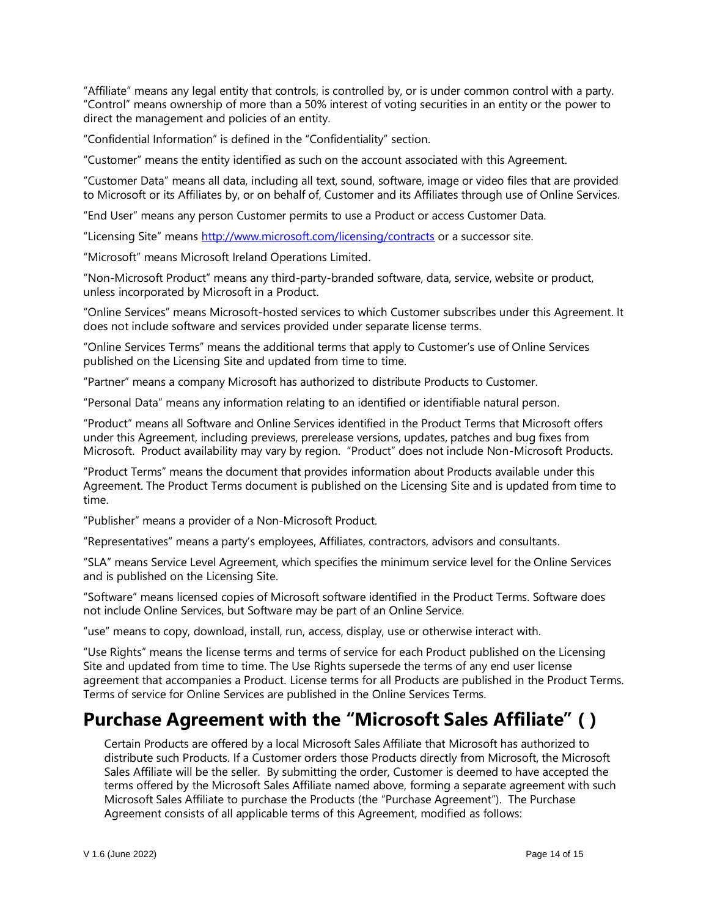"Affiliate" means any legal entity that controls, is controlled by, or is under common control with a party. "Control" means ownership of more than a 50% interest of voting securities in an entity or the power to direct the management and policies of an entity.

"Confidential Information" is defined in the "Confidentiality" section.

"Customer" means the entity identified as such on the account associated with this Agreement.

"Customer Data" means all data, including all text, sound, software, image or video files that are provided to Microsoft or its Affiliates by, or on behalf of, Customer and its Affiliates through use of Online Services.

"End User" means any person Customer permits to use a Product or access Customer Data.

"Licensing Site" means <http://www.microsoft.com/licensing/contracts> or a successor site.

"Microsoft" means Microsoft Ireland Operations Limited.

"Non-Microsoft Product" means any third-party-branded software, data, service, website or product, unless incorporated by Microsoft in a Product.

"Online Services" means Microsoft-hosted services to which Customer subscribes under this Agreement. It does not include software and services provided under separate license terms.

"Online Services Terms" means the additional terms that apply to Customer's use of Online Services published on the Licensing Site and updated from time to time.

"Partner" means a company Microsoft has authorized to distribute Products to Customer.

"Personal Data" means any information relating to an identified or identifiable natural person.

"Product" means all Software and Online Services identified in the Product Terms that Microsoft offers under this Agreement, including previews, prerelease versions, updates, patches and bug fixes from Microsoft. Product availability may vary by region. "Product" does not include Non-Microsoft Products.

"Product Terms" means the document that provides information about Products available under this Agreement. The Product Terms document is published on the Licensing Site and is updated from time to time.

"Publisher" means a provider of a Non-Microsoft Product.

"Representatives" means a party's employees, Affiliates, contractors, advisors and consultants.

"SLA" means Service Level Agreement, which specifies the minimum service level for the Online Services and is published on the Licensing Site.

"Software" means licensed copies of Microsoft software identified in the Product Terms. Software does not include Online Services, but Software may be part of an Online Service.

"use" means to copy, download, install, run, access, display, use or otherwise interact with.

"Use Rights" means the license terms and terms of service for each Product published on the Licensing Site and updated from time to time. The Use Rights supersede the terms of any end user license agreement that accompanies a Product. License terms for all Products are published in the Product Terms. Terms of service for Online Services are published in the Online Services Terms.

# **Purchase Agreement with the "Microsoft Sales Affiliate" ( )**

Certain Products are offered by a local Microsoft Sales Affiliate that Microsoft has authorized to distribute such Products. If a Customer orders those Products directly from Microsoft, the Microsoft Sales Affiliate will be the seller. By submitting the order, Customer is deemed to have accepted the terms offered by the Microsoft Sales Affiliate named above, forming a separate agreement with such Microsoft Sales Affiliate to purchase the Products (the "Purchase Agreement"). The Purchase Agreement consists of all applicable terms of this Agreement, modified as follows: